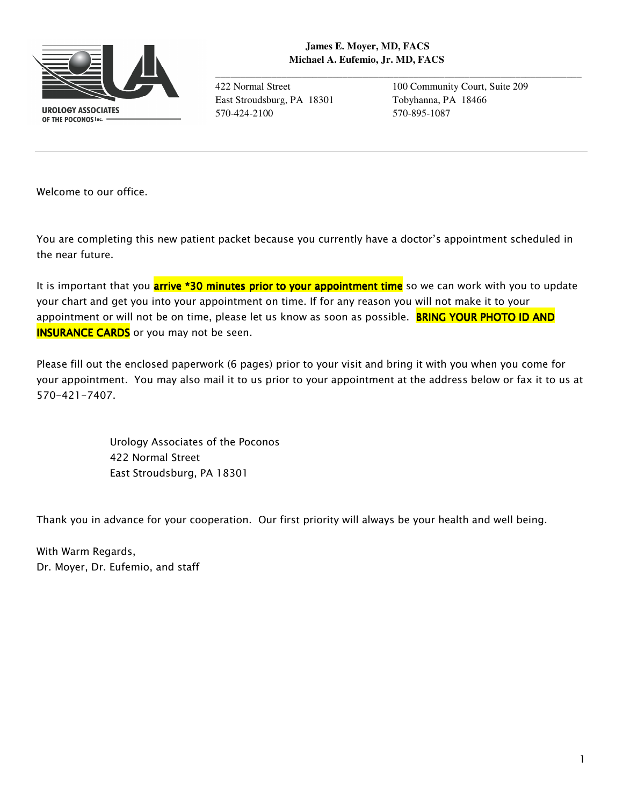

**\_\_\_\_\_\_\_\_\_\_\_\_\_\_\_\_\_\_\_\_\_\_\_\_\_\_\_\_\_\_\_\_\_\_\_\_\_\_\_\_\_\_\_\_\_\_\_\_\_\_\_\_\_\_\_\_\_\_\_\_\_\_\_\_\_\_\_\_\_\_\_\_**

East Stroudsburg, PA 18301 Tobyhanna, PA 18466 570-424-2100 570-895-1087

422 Normal Street 100 Community Court, Suite 209

*Welcome to our office.* 

*You are completing this new patient packet because you currently have a doctor's appointment scheduled in the near future.* 

*It is important that you arrive \*30 minutes 30 minutes minutes prior to your appointment time prior to your appointment time so we can work with you to update your chart and get you into your appointment on time. If for any reason you will not make it to your appointment or will not be on time, please let us know as soon as possible. BRING YOUR PHOTO ID AND* **INSURANCE CARDS** or you may not be seen.

*Please fill out the enclosed paperwork (6 pages) prior to your visit and bring it with you when you come for your appointment. You may also mail it to us prior to your appointment at the address below or fax it to us at 570-421-7407.* 

> *Urology Associates of the Poconos 422 Normal Street East Stroudsburg, PA 18301*

*Thank you in advance for your cooperation. Our first priority will always be your health and well being.* 

*With Warm Regards, Dr. Moyer, Dr. Eufemio, and staff*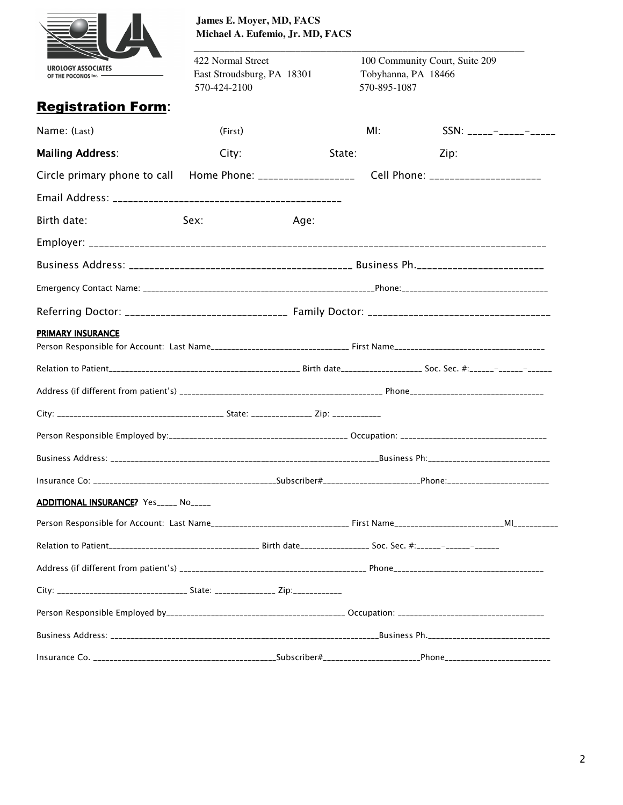

**James E. Moyer, MD, FACS Michael A. Eufemio, Jr. MD, FACS** 

422 Normal Street 100 Community Court, Suite 209 East Stroudsburg, PA 18301 Tobyhanna, PA 18466 570-424-2100 570-895-1087

**\_\_\_\_\_\_\_\_\_\_\_\_\_\_\_\_\_\_\_\_\_\_\_\_\_\_\_\_\_\_\_\_\_\_\_\_\_\_\_\_\_\_\_\_\_\_\_\_\_\_\_\_\_\_\_\_\_\_\_\_\_\_\_\_\_**

| <b>Registration Form:</b>                                                                           |         |      |        |      |  |
|-----------------------------------------------------------------------------------------------------|---------|------|--------|------|--|
| Name: (Last)                                                                                        | (First) |      | MI:    |      |  |
| <b>Mailing Address:</b>                                                                             | City:   |      | State: | Zip: |  |
| Circle primary phone to call Home Phone: _____________________ Cell Phone: ________________________ |         |      |        |      |  |
|                                                                                                     |         |      |        |      |  |
| Birth date:                                                                                         | Sex:    | Age: |        |      |  |
|                                                                                                     |         |      |        |      |  |
|                                                                                                     |         |      |        |      |  |
|                                                                                                     |         |      |        |      |  |
|                                                                                                     |         |      |        |      |  |
| PRIMARY INSURANCE                                                                                   |         |      |        |      |  |
|                                                                                                     |         |      |        |      |  |
|                                                                                                     |         |      |        |      |  |
|                                                                                                     |         |      |        |      |  |
|                                                                                                     |         |      |        |      |  |
|                                                                                                     |         |      |        |      |  |
|                                                                                                     |         |      |        |      |  |
|                                                                                                     |         |      |        |      |  |
| ADDITIONAL INSURANCE? Yes_____ No_____                                                              |         |      |        |      |  |
|                                                                                                     |         |      |        |      |  |
|                                                                                                     |         |      |        |      |  |
|                                                                                                     |         |      |        |      |  |
| City: __________________________________ State: ________________ Zip:___________                    |         |      |        |      |  |
|                                                                                                     |         |      |        |      |  |
|                                                                                                     |         |      |        |      |  |
|                                                                                                     |         |      |        |      |  |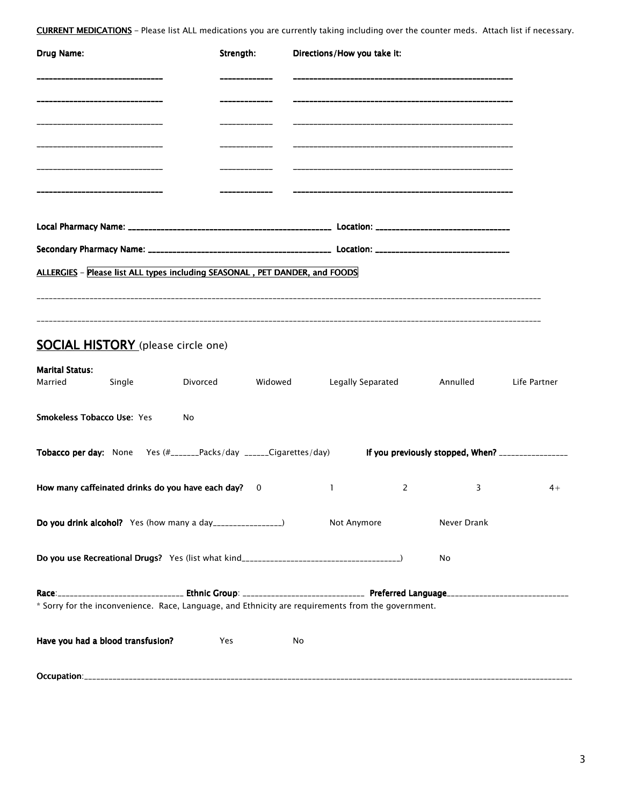*CURRENT MEDICATIONS–Please list ALL medications you are currently taking including over the counter meds. Attach list if necessary.* 

| Drug Name:                                                                                                           | Strength: | Directions/How you take it: |                |                                    |              |  |
|----------------------------------------------------------------------------------------------------------------------|-----------|-----------------------------|----------------|------------------------------------|--------------|--|
|                                                                                                                      |           |                             |                |                                    |              |  |
|                                                                                                                      |           |                             |                |                                    |              |  |
| ----------------------------                                                                                         |           |                             |                |                                    |              |  |
| -----------------------------                                                                                        |           |                             |                |                                    |              |  |
|                                                                                                                      |           |                             |                |                                    |              |  |
|                                                                                                                      |           |                             |                |                                    |              |  |
| ALLERGIES - Please list ALL types including SEASONAL, PET DANDER, and FOODS                                          |           |                             |                |                                    |              |  |
|                                                                                                                      |           |                             |                |                                    |              |  |
| <b>SOCIAL HISTORY</b> (please circle one)                                                                            |           |                             |                |                                    |              |  |
| <b>Marital Status:</b><br>Married<br><b>Single</b>                                                                   | Divorced  |                             |                | Widowed Legally Separated Annulled | Life Partner |  |
| <b>Smokeless Tobacco Use: Yes</b><br>No                                                                              |           |                             |                |                                    |              |  |
| Tobacco per day: None Yes (#_______Packs/day ______Cigarettes/day) lf you previously stopped, When? ________________ |           |                             |                |                                    |              |  |
| How many caffeinated drinks do you have each day? 0                                                                  |           | 1                           | $\overline{2}$ | 3                                  | $4+$         |  |
| Do you drink alcohol? Yes (how many a day_________________)                                                          |           | Not Anymore                 |                | Never Drank                        |              |  |
|                                                                                                                      |           |                             |                | No                                 |              |  |
|                                                                                                                      |           |                             |                |                                    |              |  |
| * Sorry for the inconvenience. Race, Language, and Ethnicity are requirements from the government.                   |           |                             |                |                                    |              |  |
| Have you had a blood transfusion?                                                                                    | Yes       | No                          |                |                                    |              |  |
|                                                                                                                      |           |                             |                |                                    |              |  |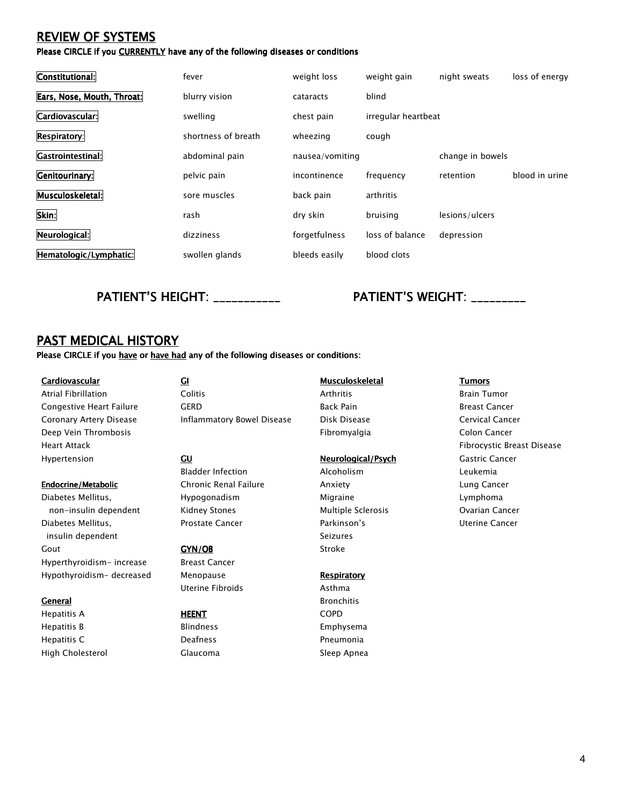## *REVIEW OF SYSTEMS*

*Please CIRCLE if you CURRENTLY* have any of the following diseases or conditions

| Constitutional:            | fever               | weight loss     | weight gain         | night sweats     | loss of energy |
|----------------------------|---------------------|-----------------|---------------------|------------------|----------------|
| Ears, Nose, Mouth, Throat: | blurry vision       | cataracts       | blind               |                  |                |
| Cardiovascular:            | swelling            | chest pain      | irregular heartbeat |                  |                |
| <b>Respiratory:</b>        | shortness of breath | wheezing        | cough               |                  |                |
| Gastrointestinal:          | abdominal pain      | nausea/vomiting |                     | change in bowels |                |
| Genitourinary:             | pelvic pain         | incontinence    | frequency           | retention        | blood in urine |
| Musculoskeletal:           | sore muscles        | back pain       | arthritis           |                  |                |
| Skin:                      | rash                | dry skin        | bruising            | lesions/ulcers   |                |
| Neurological:              | dizziness           | forgetfulness   | loss of balance     | depression       |                |
| Hematologic/Lymphatic:     | swollen glands      | bleeds easily   | blood clots         |                  |                |

### PATIENT'S HEIGHT: \_\_\_\_\_\_\_\_\_\_\_\_ PATIENT'S WEIGHT: \_\_\_\_\_\_\_\_

### *PAST MEDICAL HISTORY*

*Please CIRCLE if you have or have had any of the following diseases or conditions:* 

*Cardiovascular GI Musculoskeletal Musculoskeletal Tumors Deep Vein Thrombosis Fibromyalgia Colon Cancer Hypertension GU Neurological/Psych Neurological/Psych Gastric Cancer* 

**Endocrine/Metabolic** *Chronic Renal Failure Chronic Renal Failure Chronic Renal Failure Anxiety Chronic Renal Failure Anxiety Chronic Renal Failure Anxiety Chronic Renal Failure Anxiet Diabetes Mellitus, Hypogonadism Migraine Lymphoma non-insulin dependent Kidney Stones Multiple Sclerosis Ovarian Cancer Diabetes Mellitus, Prostate Cancer Parkinson's Uterine Cancer*  **insulin dependent** Seizures **Seizures Seizures** *Gout GYN/OB Stroke Hyperthyroidism- increase Breast Cancer Hypothyroidism- decreased Menopause Respiratory Respiratory* 

*Hepatitis A HEENT COPD Hepatitis B Blindness Emphysema Hepatitis C Deafness Pneumonia High Cholesterol Glaucoma Sleep Apnea* 

- *Atrial Fibrillation Colitis Arthritis Brain Tumor Congestive Heart Failure GERD Back Pain Breast Cancer Coronary Artery Disease Inflammatory Bowel Disease Disk Disease Cervical Cancer* 
	- *Bladder Infection Alcoholism Leukemia*

 *Uterine Fibroids Asthma* 

*General Bronchitis* 

*Heart Attack Fibrocystic Breast Disease*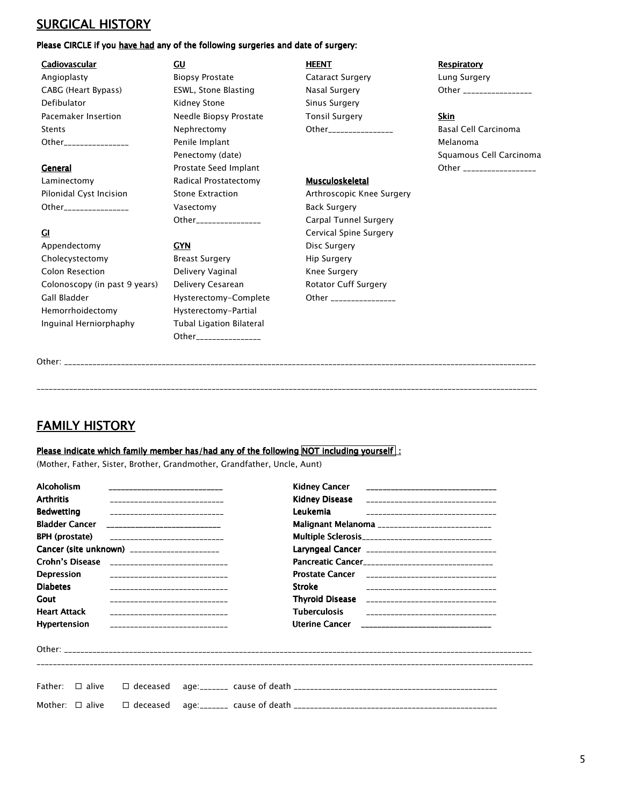# *SURGICAL HISTORY*

### *Please CIRCLE if you have had any of the following surgeries and date of surgery:*

### *Cadiovascular GU HEENT Respiratory Respiratory*

*Appendectomy GYN Disc Surgery Cholecystectomy Breast Surgery Hip Surgery Colon Resection Delivery Vaginal Knee Surgery*  Colonoscopy (in past 9 years) Delivery Cesarean Rotator Cuff Surgery Gall Bladder **Figure 3 and Hysterectomy-Complete** Other **Complete** Other **Complete** 2 and Bladder *Hemorrhoidectomy Hysterectomy-Partial Inguinal Herniorphaphy Tubal Ligation Bilateral* 

*Angioplasty Biopsy Prostate Cataract Surgery Lung Surgery*  CABG (Heart Bypass) ESWL, Stone Blasting Nasal Surgery Other 2011 2011 2012 2014 **Defibulator Matter Contract Contract Contract Contract Contract Contract Contract Contract Contract Contract Contract Contract Contract Contract Contract Contract Contract Contract Contract Contract Contract Contract Co** *Pacemaker Insertion Needle Biopsy Prostate Tonsil Surgery Skin Stents Nephrectomy Other\_\_\_\_\_\_\_\_\_\_\_\_\_\_\_\_ Basal Cell Carcinoma Other\_\_\_\_\_\_\_\_\_\_\_\_\_\_\_\_ Penile Implant Melanoma*  **General** Prostate Seed Implant **CENE CENE ARE A COMPLEMENT COMPLEMENT COMPLEMENT COMPLEMENT COMPLEMENT COMPLEMENT** *Laminectomy Radical Prostatectomy Musculoskeletal Musculoskeletal Pilonidal Cyst Incision Stone Extraction Arthroscopic Knee Surgery Other\_\_\_\_\_\_\_\_\_\_\_\_\_\_\_\_ Vasectomy Back Surgery* 

*Other\_\_\_\_\_\_\_\_\_\_\_\_\_\_\_\_* 

 *Other\_\_\_\_\_\_\_\_\_\_\_\_\_\_\_\_ Carpal Tunnel Surgery GI Cervical Spine Surgery* 

**Penectomy (date)** *Penectomy (date) Benectomy (date)* **<b>***Squamous Cell Carcinoma* 

| Other: |  |  |  |
|--------|--|--|--|
|        |  |  |  |
|        |  |  |  |

*\_\_\_\_\_\_\_\_\_\_\_\_\_\_\_\_\_\_\_\_\_\_\_\_\_\_\_\_\_\_\_\_\_\_\_\_\_\_\_\_\_\_\_\_\_\_\_\_\_\_\_\_\_\_\_\_\_\_\_\_\_\_\_\_\_\_\_\_\_\_\_\_\_\_\_\_\_\_\_\_\_\_\_\_\_\_\_\_\_\_\_\_\_\_\_\_\_\_\_\_\_\_\_\_\_\_\_\_\_\_\_\_\_\_\_\_\_\_\_\_\_\_\_* 

## *FAMILY HISTORY*

### Please indicate which family member has/had any of the following NOT including yourself :

*(Mother, Father, Sister, Brother, Grandmother, Grandfather, Uncle, Aunt)* 

| <b>Alcoholism</b>                                        |                                              |  |                                                     |                                                    |  |  |  |
|----------------------------------------------------------|----------------------------------------------|--|-----------------------------------------------------|----------------------------------------------------|--|--|--|
| <b>Arthritis</b>                                         |                                              |  |                                                     |                                                    |  |  |  |
| <b>Bedwetting</b>                                        | _______________________________              |  | Leukemia                                            |                                                    |  |  |  |
| <b>Bladder Cancer</b>                                    | _______________________________              |  | Malignant Melanoma _____________________________    |                                                    |  |  |  |
| <b>BPH</b> (prostate)<br>_______________________________ |                                              |  | Multiple Sclerosis_________________________________ |                                                    |  |  |  |
|                                                          | Cancer (site unknown) _____________________  |  |                                                     | Laryngeal Cancer _________________________________ |  |  |  |
|                                                          | Crohn's Disease ____________________________ |  |                                                     | Pancreatic Cancer_________________________________ |  |  |  |
| <b>Depression</b>                                        | _______________________________              |  |                                                     | Prostate Cancer _________________________________  |  |  |  |
| <b>Diabetes</b>                                          | ________ <b>______________________</b>       |  | <b>Stroke</b>                                       |                                                    |  |  |  |
| Gout                                                     | ________________________________             |  |                                                     |                                                    |  |  |  |
| <b>Heart Attack</b>                                      | ________________________________             |  | <b>Tuberculosis</b>                                 | ___________________________________                |  |  |  |
| Hypertension                                             | _______________________________              |  |                                                     | Uterine Cancer ________________________________    |  |  |  |
|                                                          |                                              |  |                                                     |                                                    |  |  |  |
|                                                          |                                              |  |                                                     |                                                    |  |  |  |
|                                                          |                                              |  |                                                     |                                                    |  |  |  |
|                                                          |                                              |  |                                                     |                                                    |  |  |  |
| Father:<br>$\Box$ alive                                  | $\Box$ deceased                              |  |                                                     |                                                    |  |  |  |
| Mother: $\Box$ alive                                     | $\Box$ deceased                              |  |                                                     |                                                    |  |  |  |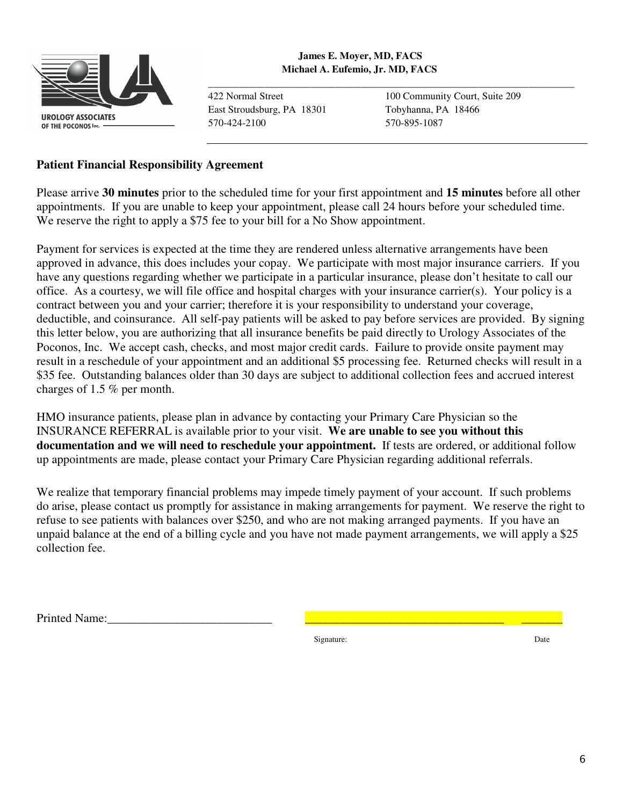

**\_\_\_\_\_\_\_\_\_\_\_\_\_\_\_\_\_\_\_\_\_\_\_\_\_\_\_\_\_\_\_\_\_\_\_\_\_\_\_\_\_\_\_\_\_\_\_\_\_\_\_\_\_\_\_\_\_\_\_\_\_\_\_\_\_\_\_\_\_\_\_\_**

East Stroudsburg, PA 18301 Tobyhanna, PA 18466 570-424-2100 570-895-1087

422 Normal Street 100 Community Court, Suite 209

### **Patient Financial Responsibility Agreement**

Please arrive **30 minutes** prior to the scheduled time for your first appointment and **15 minutes** before all other appointments. If you are unable to keep your appointment, please call 24 hours before your scheduled time. We reserve the right to apply a \$75 fee to your bill for a No Show appointment.

Payment for services is expected at the time they are rendered unless alternative arrangements have been approved in advance, this does includes your copay. We participate with most major insurance carriers. If you have any questions regarding whether we participate in a particular insurance, please don't hesitate to call our office. As a courtesy, we will file office and hospital charges with your insurance carrier(s). Your policy is a contract between you and your carrier; therefore it is your responsibility to understand your coverage, deductible, and coinsurance. All self-pay patients will be asked to pay before services are provided. By signing this letter below, you are authorizing that all insurance benefits be paid directly to Urology Associates of the Poconos, Inc. We accept cash, checks, and most major credit cards. Failure to provide onsite payment may result in a reschedule of your appointment and an additional \$5 processing fee. Returned checks will result in a \$35 fee. Outstanding balances older than 30 days are subject to additional collection fees and accrued interest charges of 1.5 % per month.

HMO insurance patients, please plan in advance by contacting your Primary Care Physician so the INSURANCE REFERRAL is available prior to your visit. **We are unable to see you without this documentation and we will need to reschedule your appointment.** If tests are ordered, or additional follow up appointments are made, please contact your Primary Care Physician regarding additional referrals.

We realize that temporary financial problems may impede timely payment of your account. If such problems do arise, please contact us promptly for assistance in making arrangements for payment. We reserve the right to refuse to see patients with balances over \$250, and who are not making arranged payments. If you have an unpaid balance at the end of a billing cycle and you have not made payment arrangements, we will apply a \$25 collection fee.

Printed Name:

Signature: Date